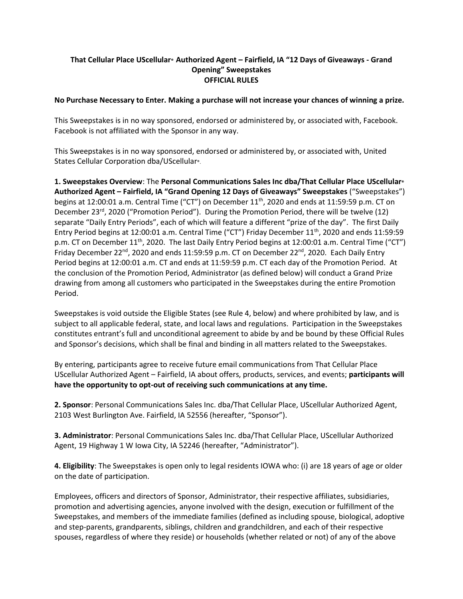## **That Cellular Place UScellular® Authorized Agent – Fairfield, IA "12 Days of Giveaways - Grand Opening" Sweepstakes OFFICIAL RULES**

## **No Purchase Necessary to Enter. Making a purchase will not increase your chances of winning a prize.**

This Sweepstakes is in no way sponsored, endorsed or administered by, or associated with, Facebook. Facebook is not affiliated with the Sponsor in any way.

This Sweepstakes is in no way sponsored, endorsed or administered by, or associated with, United States Cellular Corporation dba/UScellular®.

**1. Sweepstakes Overview**: The **Personal Communications Sales Inc dba/That Cellular Place UScellular® Authorized Agent – Fairfield, IA "Grand Opening 12 Days of Giveaways" Sweepstakes** ("Sweepstakes") begins at 12:00:01 a.m. Central Time ("CT") on December 11<sup>th</sup>, 2020 and ends at 11:59:59 p.m. CT on December 23<sup>rd</sup>, 2020 ("Promotion Period"). During the Promotion Period, there will be twelve (12) separate "Daily Entry Periods", each of which will feature a different "prize of the day". The first Daily Entry Period begins at 12:00:01 a.m. Central Time ("CT") Friday December 11th, 2020 and ends 11:59:59 p.m. CT on December 11<sup>th</sup>, 2020. The last Daily Entry Period begins at 12:00:01 a.m. Central Time ("CT") Friday December 22<sup>nd</sup>, 2020 and ends 11:59:59 p.m. CT on December 22<sup>nd</sup>, 2020. Each Daily Entry Period begins at 12:00:01 a.m. CT and ends at 11:59:59 p.m. CT each day of the Promotion Period. At the conclusion of the Promotion Period, Administrator (as defined below) will conduct a Grand Prize drawing from among all customers who participated in the Sweepstakes during the entire Promotion Period.

Sweepstakes is void outside the Eligible States (see Rule 4, below) and where prohibited by law, and is subject to all applicable federal, state, and local laws and regulations. Participation in the Sweepstakes constitutes entrant's full and unconditional agreement to abide by and be bound by these Official Rules and Sponsor's decisions, which shall be final and binding in all matters related to the Sweepstakes.

By entering, participants agree to receive future email communications from That Cellular Place UScellular Authorized Agent – Fairfield, IA about offers, products, services, and events; **participants will have the opportunity to opt-out of receiving such communications at any time.**

**2. Sponsor**: Personal Communications Sales Inc. dba/That Cellular Place, UScellular Authorized Agent, 2103 West Burlington Ave. Fairfield, IA 52556 (hereafter, "Sponsor").

**3. Administrator**: Personal Communications Sales Inc. dba/That Cellular Place, UScellular Authorized Agent, 19 Highway 1 W Iowa City, IA 52246 (hereafter, "Administrator").

**4. Eligibility**: The Sweepstakes is open only to legal residents IOWA who: (i) are 18 years of age or older on the date of participation.

Employees, officers and directors of Sponsor, Administrator, their respective affiliates, subsidiaries, promotion and advertising agencies, anyone involved with the design, execution or fulfillment of the Sweepstakes, and members of the immediate families (defined as including spouse, biological, adoptive and step-parents, grandparents, siblings, children and grandchildren, and each of their respective spouses, regardless of where they reside) or households (whether related or not) of any of the above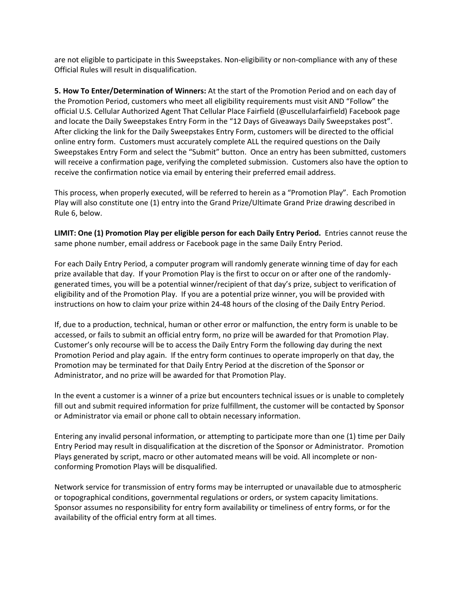are not eligible to participate in this Sweepstakes. Non-eligibility or non-compliance with any of these Official Rules will result in disqualification.

**5. How To Enter/Determination of Winners:** At the start of the Promotion Period and on each day of the Promotion Period, customers who meet all eligibility requirements must visit AND "Follow" the official U.S. Cellular Authorized Agent That Cellular Place Fairfield (@uscellularfairfield) Facebook page and locate the Daily Sweepstakes Entry Form in the "12 Days of Giveaways Daily Sweepstakes post". After clicking the link for the Daily Sweepstakes Entry Form, customers will be directed to the official online entry form. Customers must accurately complete ALL the required questions on the Daily Sweepstakes Entry Form and select the "Submit" button. Once an entry has been submitted, customers will receive a confirmation page, verifying the completed submission. Customers also have the option to receive the confirmation notice via email by entering their preferred email address.

This process, when properly executed, will be referred to herein as a "Promotion Play". Each Promotion Play will also constitute one (1) entry into the Grand Prize/Ultimate Grand Prize drawing described in Rule 6, below.

**LIMIT: One (1) Promotion Play per eligible person for each Daily Entry Period.** Entries cannot reuse the same phone number, email address or Facebook page in the same Daily Entry Period.

For each Daily Entry Period, a computer program will randomly generate winning time of day for each prize available that day. If your Promotion Play is the first to occur on or after one of the randomlygenerated times, you will be a potential winner/recipient of that day's prize, subject to verification of eligibility and of the Promotion Play. If you are a potential prize winner, you will be provided with instructions on how to claim your prize within 24-48 hours of the closing of the Daily Entry Period.

If, due to a production, technical, human or other error or malfunction, the entry form is unable to be accessed, or fails to submit an official entry form, no prize will be awarded for that Promotion Play. Customer's only recourse will be to access the Daily Entry Form the following day during the next Promotion Period and play again. If the entry form continues to operate improperly on that day, the Promotion may be terminated for that Daily Entry Period at the discretion of the Sponsor or Administrator, and no prize will be awarded for that Promotion Play.

In the event a customer is a winner of a prize but encounters technical issues or is unable to completely fill out and submit required information for prize fulfillment, the customer will be contacted by Sponsor or Administrator via email or phone call to obtain necessary information.

Entering any invalid personal information, or attempting to participate more than one (1) time per Daily Entry Period may result in disqualification at the discretion of the Sponsor or Administrator. Promotion Plays generated by script, macro or other automated means will be void. All incomplete or nonconforming Promotion Plays will be disqualified.

Network service for transmission of entry forms may be interrupted or unavailable due to atmospheric or topographical conditions, governmental regulations or orders, or system capacity limitations. Sponsor assumes no responsibility for entry form availability or timeliness of entry forms, or for the availability of the official entry form at all times.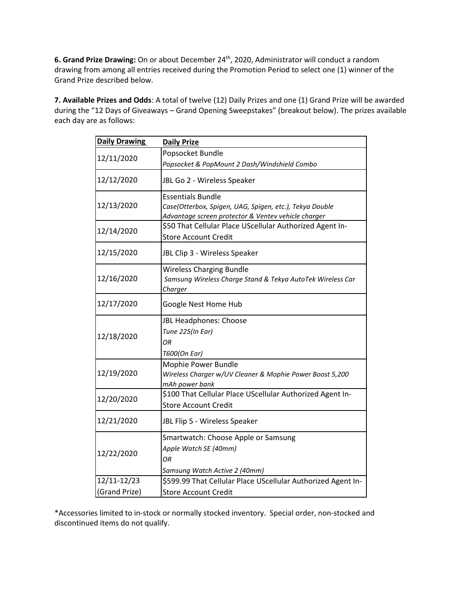**6. Grand Prize Drawing:** On or about December 24 th, 2020, Administrator will conduct a random drawing from among all entries received during the Promotion Period to select one (1) winner of the Grand Prize described below.

**7. Available Prizes and Odds**: A total of twelve (12) Daily Prizes and one (1) Grand Prize will be awarded during the "12 Days of Giveaways – Grand Opening Sweepstakes" (breakout below). The prizes available each day are as follows:

| <b>Daily Drawing</b> | <b>Daily Prize</b>                                                                                                                         |
|----------------------|--------------------------------------------------------------------------------------------------------------------------------------------|
| 12/11/2020           | Popsocket Bundle                                                                                                                           |
|                      | Popsocket & PopMount 2 Dash/Windshield Combo                                                                                               |
| 12/12/2020           | JBL Go 2 - Wireless Speaker                                                                                                                |
| 12/13/2020           | <b>Essentials Bundle</b><br>Case(Otterbox, Spigen, UAG, Spigen, etc.), Tekya Double<br>Advantage screen protector & Ventev vehicle charger |
| 12/14/2020           | \$50 That Cellular Place UScellular Authorized Agent In-<br><b>Store Account Credit</b>                                                    |
| 12/15/2020           | JBL Clip 3 - Wireless Speaker                                                                                                              |
| 12/16/2020           | <b>Wireless Charging Bundle</b><br>Samsung Wireless Charge Stand & Tekya AutoTek Wireless Car<br><b>Charger</b>                            |
| 12/17/2020           | Google Nest Home Hub                                                                                                                       |
| 12/18/2020           | JBL Headphones: Choose<br>Tune 225(In Ear)<br>ОR<br>T600(On Ear)                                                                           |
| 12/19/2020           | Mophie Power Bundle<br>Wireless Charger w/UV Cleaner & Mophie Power Boost 5,200<br>mAh power bank                                          |
| 12/20/2020           | \$100 That Cellular Place UScellular Authorized Agent In-<br><b>Store Account Credit</b>                                                   |
| 12/21/2020           | JBL Flip 5 - Wireless Speaker                                                                                                              |
| 12/22/2020           | Smartwatch: Choose Apple or Samsung<br>Apple Watch SE (40mm)<br>ΟR<br>Samsung Watch Active 2 (40mm)                                        |
| 12/11-12/23          | \$599.99 That Cellular Place UScellular Authorized Agent In-                                                                               |
| (Grand Prize)        | <b>Store Account Credit</b>                                                                                                                |

\*Accessories limited to in-stock or normally stocked inventory. Special order, non-stocked and discontinued items do not qualify.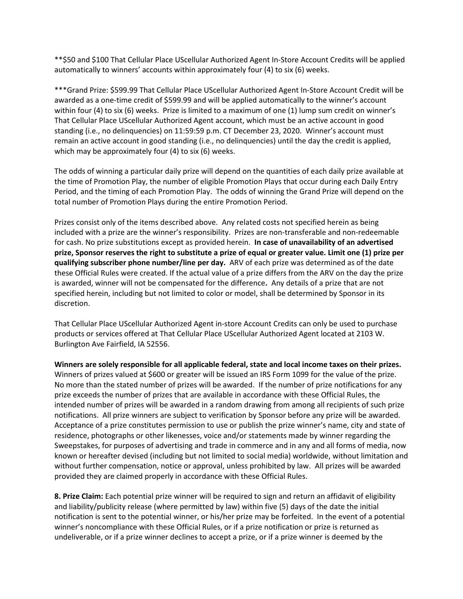\*\*\$50 and \$100 That Cellular Place UScellular Authorized Agent In-Store Account Credits will be applied automatically to winners' accounts within approximately four (4) to six (6) weeks.

\*\*\*Grand Prize: \$599.99 That Cellular Place UScellular Authorized Agent In-Store Account Credit will be awarded as a one-time credit of \$599.99 and will be applied automatically to the winner's account within four (4) to six (6) weeks. Prize is limited to a maximum of one (1) lump sum credit on winner's That Cellular Place UScellular Authorized Agent account, which must be an active account in good standing (i.e., no delinquencies) on 11:59:59 p.m. CT December 23, 2020. Winner's account must remain an active account in good standing (i.e., no delinquencies) until the day the credit is applied, which may be approximately four (4) to six (6) weeks.

The odds of winning a particular daily prize will depend on the quantities of each daily prize available at the time of Promotion Play, the number of eligible Promotion Plays that occur during each Daily Entry Period, and the timing of each Promotion Play. The odds of winning the Grand Prize will depend on the total number of Promotion Plays during the entire Promotion Period.

Prizes consist only of the items described above. Any related costs not specified herein as being included with a prize are the winner's responsibility. Prizes are non-transferable and non-redeemable for cash. No prize substitutions except as provided herein. **In case of unavailability of an advertised prize, Sponsor reserves the right to substitute a prize of equal or greater value. Limit one (1) prize per qualifying subscriber phone number/line per day.** ARV of each prize was determined as of the date these Official Rules were created. If the actual value of a prize differs from the ARV on the day the prize is awarded, winner will not be compensated for the difference**.** Any details of a prize that are not specified herein, including but not limited to color or model, shall be determined by Sponsor in its discretion.

That Cellular Place UScellular Authorized Agent in-store Account Credits can only be used to purchase products or services offered at That Cellular Place UScellular Authorized Agent located at 2103 W. Burlington Ave Fairfield, IA 52556.

**Winners are solely responsible for all applicable federal, state and local income taxes on their prizes.**  Winners of prizes valued at \$600 or greater will be issued an IRS Form 1099 for the value of the prize. No more than the stated number of prizes will be awarded. If the number of prize notifications for any prize exceeds the number of prizes that are available in accordance with these Official Rules, the intended number of prizes will be awarded in a random drawing from among all recipients of such prize notifications. All prize winners are subject to verification by Sponsor before any prize will be awarded. Acceptance of a prize constitutes permission to use or publish the prize winner's name, city and state of residence, photographs or other likenesses, voice and/or statements made by winner regarding the Sweepstakes, for purposes of advertising and trade in commerce and in any and all forms of media, now known or hereafter devised (including but not limited to social media) worldwide, without limitation and without further compensation, notice or approval, unless prohibited by law. All prizes will be awarded provided they are claimed properly in accordance with these Official Rules.

**8. Prize Claim:** Each potential prize winner will be required to sign and return an affidavit of eligibility and liability/publicity release (where permitted by law) within five (5) days of the date the initial notification is sent to the potential winner, or his/her prize may be forfeited. In the event of a potential winner's noncompliance with these Official Rules, or if a prize notification or prize is returned as undeliverable, or if a prize winner declines to accept a prize, or if a prize winner is deemed by the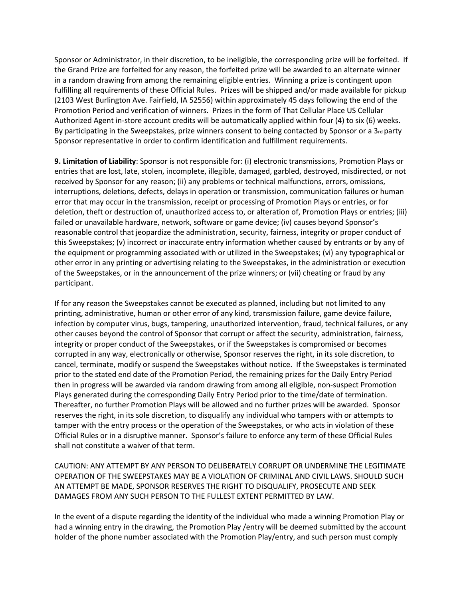Sponsor or Administrator, in their discretion, to be ineligible, the corresponding prize will be forfeited. If the Grand Prize are forfeited for any reason, the forfeited prize will be awarded to an alternate winner in a random drawing from among the remaining eligible entries. Winning a prize is contingent upon fulfilling all requirements of these Official Rules. Prizes will be shipped and/or made available for pickup (2103 West Burlington Ave. Fairfield, IA 52556) within approximately 45 days following the end of the Promotion Period and verification of winners. Prizes in the form of That Cellular Place US Cellular Authorized Agent in-store account credits will be automatically applied within four (4) to six (6) weeks. By participating in the Sweepstakes, prize winners consent to being contacted by Sponsor or a 3rd party Sponsor representative in order to confirm identification and fulfillment requirements.

**9. Limitation of Liability**: Sponsor is not responsible for: (i) electronic transmissions, Promotion Plays or entries that are lost, late, stolen, incomplete, illegible, damaged, garbled, destroyed, misdirected, or not received by Sponsor for any reason; (ii) any problems or technical malfunctions, errors, omissions, interruptions, deletions, defects, delays in operation or transmission, communication failures or human error that may occur in the transmission, receipt or processing of Promotion Plays or entries, or for deletion, theft or destruction of, unauthorized access to, or alteration of, Promotion Plays or entries; (iii) failed or unavailable hardware, network, software or game device; (iv) causes beyond Sponsor's reasonable control that jeopardize the administration, security, fairness, integrity or proper conduct of this Sweepstakes; (v) incorrect or inaccurate entry information whether caused by entrants or by any of the equipment or programming associated with or utilized in the Sweepstakes; (vi) any typographical or other error in any printing or advertising relating to the Sweepstakes, in the administration or execution of the Sweepstakes, or in the announcement of the prize winners; or (vii) cheating or fraud by any participant.

If for any reason the Sweepstakes cannot be executed as planned, including but not limited to any printing, administrative, human or other error of any kind, transmission failure, game device failure, infection by computer virus, bugs, tampering, unauthorized intervention, fraud, technical failures, or any other causes beyond the control of Sponsor that corrupt or affect the security, administration, fairness, integrity or proper conduct of the Sweepstakes, or if the Sweepstakes is compromised or becomes corrupted in any way, electronically or otherwise, Sponsor reserves the right, in its sole discretion, to cancel, terminate, modify or suspend the Sweepstakes without notice. If the Sweepstakes is terminated prior to the stated end date of the Promotion Period, the remaining prizes for the Daily Entry Period then in progress will be awarded via random drawing from among all eligible, non-suspect Promotion Plays generated during the corresponding Daily Entry Period prior to the time/date of termination. Thereafter, no further Promotion Plays will be allowed and no further prizes will be awarded. Sponsor reserves the right, in its sole discretion, to disqualify any individual who tampers with or attempts to tamper with the entry process or the operation of the Sweepstakes, or who acts in violation of these Official Rules or in a disruptive manner. Sponsor's failure to enforce any term of these Official Rules shall not constitute a waiver of that term.

CAUTION: ANY ATTEMPT BY ANY PERSON TO DELIBERATELY CORRUPT OR UNDERMINE THE LEGITIMATE OPERATION OF THE SWEEPSTAKES MAY BE A VIOLATION OF CRIMINAL AND CIVIL LAWS. SHOULD SUCH AN ATTEMPT BE MADE, SPONSOR RESERVES THE RIGHT TO DISQUALIFY, PROSECUTE AND SEEK DAMAGES FROM ANY SUCH PERSON TO THE FULLEST EXTENT PERMITTED BY LAW.

In the event of a dispute regarding the identity of the individual who made a winning Promotion Play or had a winning entry in the drawing, the Promotion Play /entry will be deemed submitted by the account holder of the phone number associated with the Promotion Play/entry, and such person must comply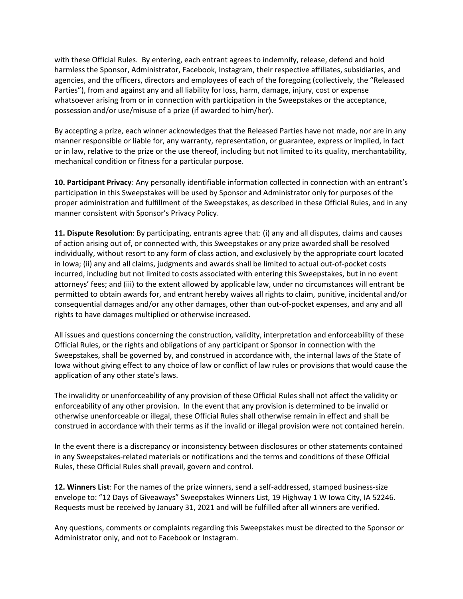with these Official Rules. By entering, each entrant agrees to indemnify, release, defend and hold harmless the Sponsor, Administrator, Facebook, Instagram, their respective affiliates, subsidiaries, and agencies, and the officers, directors and employees of each of the foregoing (collectively, the "Released Parties"), from and against any and all liability for loss, harm, damage, injury, cost or expense whatsoever arising from or in connection with participation in the Sweepstakes or the acceptance, possession and/or use/misuse of a prize (if awarded to him/her).

By accepting a prize, each winner acknowledges that the Released Parties have not made, nor are in any manner responsible or liable for, any warranty, representation, or guarantee, express or implied, in fact or in law, relative to the prize or the use thereof, including but not limited to its quality, merchantability, mechanical condition or fitness for a particular purpose.

**10. Participant Privacy**: Any personally identifiable information collected in connection with an entrant's participation in this Sweepstakes will be used by Sponsor and Administrator only for purposes of the proper administration and fulfillment of the Sweepstakes, as described in these Official Rules, and in any manner consistent with Sponsor's Privacy Policy.

**11. Dispute Resolution**: By participating, entrants agree that: (i) any and all disputes, claims and causes of action arising out of, or connected with, this Sweepstakes or any prize awarded shall be resolved individually, without resort to any form of class action, and exclusively by the appropriate court located in Iowa; (ii) any and all claims, judgments and awards shall be limited to actual out-of-pocket costs incurred, including but not limited to costs associated with entering this Sweepstakes, but in no event attorneys' fees; and (iii) to the extent allowed by applicable law, under no circumstances will entrant be permitted to obtain awards for, and entrant hereby waives all rights to claim, punitive, incidental and/or consequential damages and/or any other damages, other than out-of-pocket expenses, and any and all rights to have damages multiplied or otherwise increased.

All issues and questions concerning the construction, validity, interpretation and enforceability of these Official Rules, or the rights and obligations of any participant or Sponsor in connection with the Sweepstakes, shall be governed by, and construed in accordance with, the internal laws of the State of Iowa without giving effect to any choice of law or conflict of law rules or provisions that would cause the application of any other state's laws.

The invalidity or unenforceability of any provision of these Official Rules shall not affect the validity or enforceability of any other provision. In the event that any provision is determined to be invalid or otherwise unenforceable or illegal, these Official Rules shall otherwise remain in effect and shall be construed in accordance with their terms as if the invalid or illegal provision were not contained herein.

In the event there is a discrepancy or inconsistency between disclosures or other statements contained in any Sweepstakes-related materials or notifications and the terms and conditions of these Official Rules, these Official Rules shall prevail, govern and control.

**12. Winners List**: For the names of the prize winners, send a self-addressed, stamped business-size envelope to: "12 Days of Giveaways" Sweepstakes Winners List, 19 Highway 1 W Iowa City, IA 52246. Requests must be received by January 31, 2021 and will be fulfilled after all winners are verified.

Any questions, comments or complaints regarding this Sweepstakes must be directed to the Sponsor or Administrator only, and not to Facebook or Instagram.